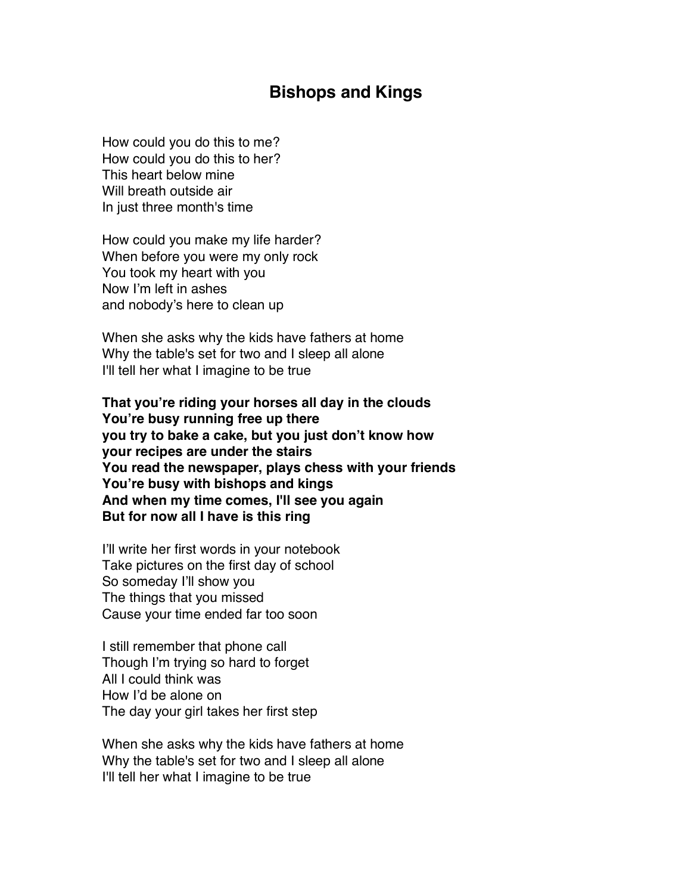## **Bishops and Kings**

How could you do this to me? How could you do this to her? This heart below mine Will breath outside air In just three month's time

How could you make my life harder? When before you were my only rock You took my heart with you Now I'm left in ashes and nobody's here to clean up

When she asks why the kids have fathers at home Why the table's set for two and I sleep all alone I'll tell her what I imagine to be true

**That you're riding your horses all day in the clouds You're busy running free up there you try to bake a cake, but you just don't know how your recipes are under the stairs You read the newspaper, plays chess with your friends You're busy with bishops and kings And when my time comes, I'll see you again But for now all I have is this ring**

I'll write her first words in your notebook Take pictures on the first day of school So someday I'll show you The things that you missed Cause your time ended far too soon

I still remember that phone call Though I'm trying so hard to forget All I could think was How I'd be alone on The day your girl takes her first step

When she asks why the kids have fathers at home Why the table's set for two and I sleep all alone I'll tell her what I imagine to be true